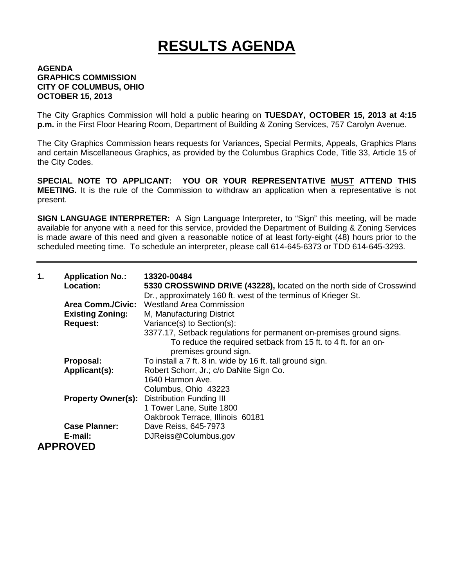## **RESULTS AGENDA**

## **AGENDA GRAPHICS COMMISSION CITY OF COLUMBUS, OHIO OCTOBER 15, 2013**

The City Graphics Commission will hold a public hearing on **TUESDAY, OCTOBER 15, 2013 at 4:15 p.m.** in the First Floor Hearing Room, Department of Building & Zoning Services, 757 Carolyn Avenue.

The City Graphics Commission hears requests for Variances, Special Permits, Appeals, Graphics Plans and certain Miscellaneous Graphics, as provided by the Columbus Graphics Code, Title 33, Article 15 of the City Codes.

**SPECIAL NOTE TO APPLICANT: YOU OR YOUR REPRESENTATIVE MUST ATTEND THIS MEETING.** It is the rule of the Commission to withdraw an application when a representative is not present.

**SIGN LANGUAGE INTERPRETER:** A Sign Language Interpreter, to "Sign" this meeting, will be made available for anyone with a need for this service, provided the Department of Building & Zoning Services is made aware of this need and given a reasonable notice of at least forty-eight (48) hours prior to the scheduled meeting time. To schedule an interpreter, please call 614-645-6373 or TDD 614-645-3293.

| 1. | <b>Application No.:</b><br>Location: | 13320-00484<br>5330 CROSSWIND DRIVE (43228), located on the north side of Crosswind<br>Dr., approximately 160 ft. west of the terminus of Krieger St. |
|----|--------------------------------------|-------------------------------------------------------------------------------------------------------------------------------------------------------|
|    | <b>Area Comm./Civic:</b>             | <b>Westland Area Commission</b>                                                                                                                       |
|    | <b>Existing Zoning:</b>              | M, Manufacturing District                                                                                                                             |
|    | <b>Request:</b>                      | Variance(s) to Section(s):                                                                                                                            |
|    |                                      | 3377.17, Setback regulations for permanent on-premises ground signs.                                                                                  |
|    |                                      | To reduce the required setback from 15 ft. to 4 ft. for an on-<br>premises ground sign.                                                               |
|    | Proposal:                            | To install a 7 ft. 8 in. wide by 16 ft. tall ground sign.                                                                                             |
|    | Applicant(s):                        | Robert Schorr, Jr.; c/o DaNite Sign Co.                                                                                                               |
|    |                                      | 1640 Harmon Ave.                                                                                                                                      |
|    |                                      | Columbus, Ohio 43223                                                                                                                                  |
|    | <b>Property Owner(s):</b>            | <b>Distribution Funding III</b>                                                                                                                       |
|    |                                      | 1 Tower Lane, Suite 1800                                                                                                                              |
|    |                                      | Oakbrook Terrace, Illinois 60181                                                                                                                      |
|    | <b>Case Planner:</b>                 | Dave Reiss, 645-7973                                                                                                                                  |
|    | E-mail:                              | DJReiss@Columbus.gov                                                                                                                                  |
|    | <b>APPROVED</b>                      |                                                                                                                                                       |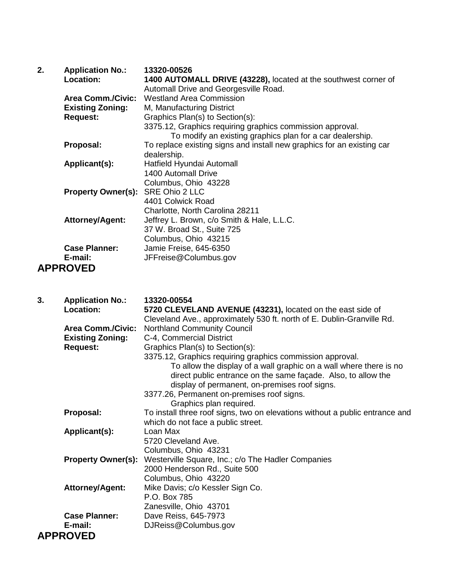| 2. | <b>Application No.:</b>           | 13320-00526                                                            |
|----|-----------------------------------|------------------------------------------------------------------------|
|    | Location:                         | 1400 AUTOMALL DRIVE (43228), located at the southwest corner of        |
|    |                                   | Automall Drive and Georgesville Road.                                  |
|    | <b>Area Comm./Civic:</b>          | <b>Westland Area Commission</b>                                        |
|    | <b>Existing Zoning:</b>           | M, Manufacturing District                                              |
|    | <b>Request:</b>                   | Graphics Plan(s) to Section(s):                                        |
|    |                                   | 3375.12, Graphics requiring graphics commission approval.              |
|    |                                   | To modify an existing graphics plan for a car dealership.              |
|    | Proposal:                         | To replace existing signs and install new graphics for an existing car |
|    |                                   | dealership.                                                            |
|    | Applicant(s):                     | Hatfield Hyundai Automall                                              |
|    |                                   | 1400 Automall Drive                                                    |
|    |                                   | Columbus, Ohio 43228                                                   |
|    | Property Owner(s): SRE Ohio 2 LLC |                                                                        |
|    |                                   | 4401 Colwick Road                                                      |
|    |                                   | Charlotte, North Carolina 28211                                        |
|    | <b>Attorney/Agent:</b>            | Jeffrey L. Brown, c/o Smith & Hale, L.L.C.                             |
|    |                                   | 37 W. Broad St., Suite 725                                             |
|    |                                   | Columbus, Ohio 43215                                                   |
|    | <b>Case Planner:</b>              | Jamie Freise, 645-6350                                                 |
|    | E-mail:                           | JFFreise@Columbus.gov                                                  |
|    | <b>APPROVED</b>                   |                                                                        |

| 3. | <b>Application No.:</b>   | 13320-00554                                                                                                                                                                          |
|----|---------------------------|--------------------------------------------------------------------------------------------------------------------------------------------------------------------------------------|
|    | Location:                 | 5720 CLEVELAND AVENUE (43231), located on the east side of                                                                                                                           |
|    |                           | Cleveland Ave., approximately 530 ft. north of E. Dublin-Granville Rd.                                                                                                               |
|    | <b>Area Comm./Civic:</b>  | <b>Northland Community Council</b>                                                                                                                                                   |
|    | <b>Existing Zoning:</b>   | C-4, Commercial District                                                                                                                                                             |
|    | <b>Request:</b>           | Graphics Plan(s) to Section(s):                                                                                                                                                      |
|    |                           | 3375.12, Graphics requiring graphics commission approval.                                                                                                                            |
|    |                           | To allow the display of a wall graphic on a wall where there is no<br>direct public entrance on the same façade. Also, to allow the<br>display of permanent, on-premises roof signs. |
|    |                           | 3377.26, Permanent on-premises roof signs.                                                                                                                                           |
|    |                           | Graphics plan required.                                                                                                                                                              |
|    | Proposal:                 | To install three roof signs, two on elevations without a public entrance and                                                                                                         |
|    |                           | which do not face a public street.                                                                                                                                                   |
|    | Applicant(s):             | Loan Max                                                                                                                                                                             |
|    |                           | 5720 Cleveland Ave.                                                                                                                                                                  |
|    |                           | Columbus, Ohio 43231                                                                                                                                                                 |
|    | <b>Property Owner(s):</b> | Westerville Square, Inc.; c/o The Hadler Companies                                                                                                                                   |
|    |                           | 2000 Henderson Rd., Suite 500                                                                                                                                                        |
|    |                           | Columbus, Ohio 43220                                                                                                                                                                 |
|    | <b>Attorney/Agent:</b>    | Mike Davis; c/o Kessler Sign Co.                                                                                                                                                     |
|    |                           | P.O. Box 785                                                                                                                                                                         |
|    |                           | Zanesville, Ohio 43701                                                                                                                                                               |
|    | <b>Case Planner:</b>      |                                                                                                                                                                                      |
|    |                           | Dave Reiss, 645-7973                                                                                                                                                                 |
|    | E-mail:                   | DJReiss@Columbus.gov                                                                                                                                                                 |
|    | <b>APPROVED</b>           |                                                                                                                                                                                      |